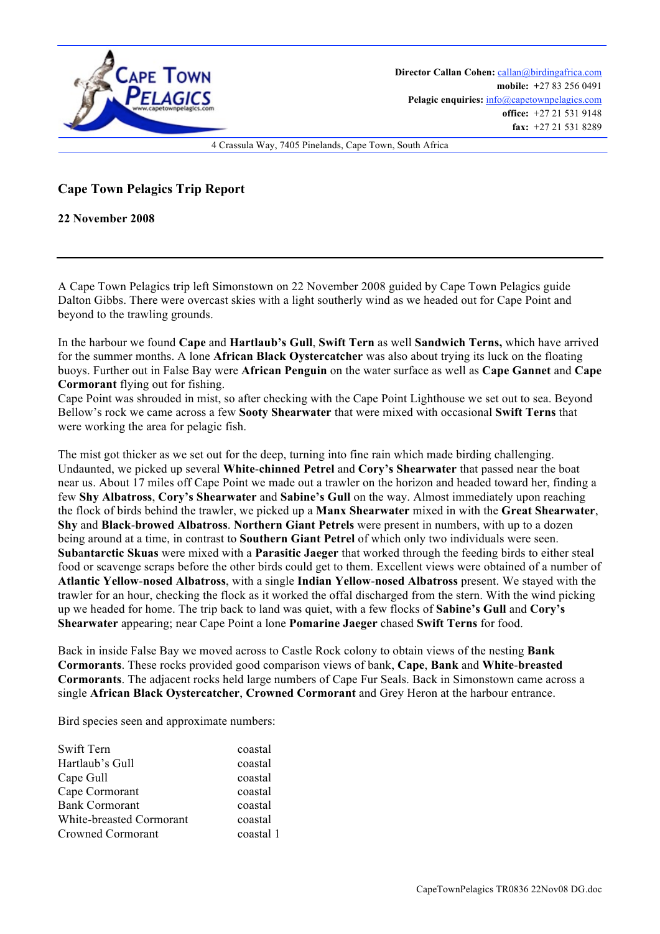

## **Cape Town Pelagics Trip Report**

**22 November 2008**

A Cape Town Pelagics trip left Simonstown on 22 November 2008 guided by Cape Town Pelagics guide Dalton Gibbs. There were overcast skies with a light southerly wind as we headed out for Cape Point and beyond to the trawling grounds.

In the harbour we found **Cape** and **Hartlaub's Gull**, **Swift Tern** as well **Sandwich Terns,** which have arrived for the summer months. A lone **African Black Oystercatcher** was also about trying its luck on the floating buoys. Further out in False Bay were **African Penguin** on the water surface as well as **Cape Gannet** and **Cape Cormorant** flying out for fishing.

Cape Point was shrouded in mist, so after checking with the Cape Point Lighthouse we set out to sea. Beyond Bellow's rock we came across a few **Sooty Shearwater** that were mixed with occasional **Swift Terns** that were working the area for pelagic fish.

The mist got thicker as we set out for the deep, turning into fine rain which made birding challenging. Undaunted, we picked up several **White**-**chinned Petrel** and **Cory's Shearwater** that passed near the boat near us. About 17 miles off Cape Point we made out a trawler on the horizon and headed toward her, finding a few **Shy Albatross**, **Cory's Shearwater** and **Sabine's Gull** on the way. Almost immediately upon reaching the flock of birds behind the trawler, we picked up a **Manx Shearwater** mixed in with the **Great Shearwater**, **Shy** and **Black**-**browed Albatross**. **Northern Giant Petrels** were present in numbers, with up to a dozen being around at a time, in contrast to **Southern Giant Petrel** of which only two individuals were seen. **Sub**a**ntarctic Skuas** were mixed with a **Parasitic Jaeger** that worked through the feeding birds to either steal food or scavenge scraps before the other birds could get to them. Excellent views were obtained of a number of **Atlantic Yellow**-**nosed Albatross**, with a single **Indian Yellow**-**nosed Albatross** present. We stayed with the trawler for an hour, checking the flock as it worked the offal discharged from the stern. With the wind picking up we headed for home. The trip back to land was quiet, with a few flocks of **Sabine's Gull** and **Cory's Shearwater** appearing; near Cape Point a lone **Pomarine Jaeger** chased **Swift Terns** for food.

Back in inside False Bay we moved across to Castle Rock colony to obtain views of the nesting **Bank Cormorants**. These rocks provided good comparison views of bank, **Cape**, **Bank** and **White**-**breasted Cormorants**. The adjacent rocks held large numbers of Cape Fur Seals. Back in Simonstown came across a single **African Black Oystercatcher**, **Crowned Cormorant** and Grey Heron at the harbour entrance.

Bird species seen and approximate numbers:

| Swift Tern               | coastal   |
|--------------------------|-----------|
| Hartlaub's Gull          | coastal   |
| Cape Gull                | coastal   |
| Cape Cormorant           | coastal   |
| <b>Bank Cormorant</b>    | coastal   |
| White-breasted Cormorant | coastal   |
| Crowned Cormorant        | coastal 1 |
|                          |           |